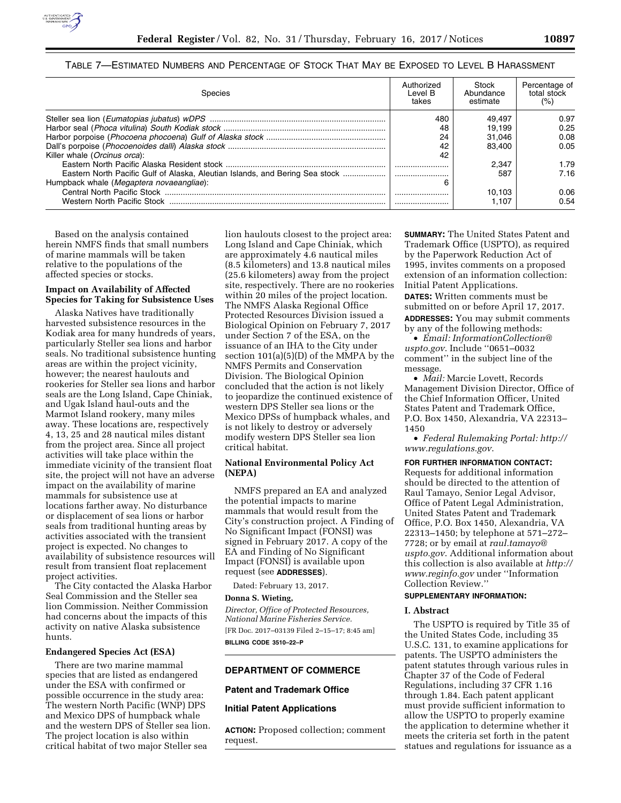

## TABLE 7—ESTIMATED NUMBERS AND PERCENTAGE OF STOCK THAT MAY BE EXPOSED TO LEVEL B HARASSMENT

| Species                                                                      | Authorized<br>Level B<br>takes | Stock<br>Abundance<br>estimate | Percentage of<br>total stock<br>(%) |
|------------------------------------------------------------------------------|--------------------------------|--------------------------------|-------------------------------------|
|                                                                              | 480                            | 49.497                         | 0.97                                |
|                                                                              | 48                             | 19.199                         | 0.25                                |
|                                                                              | 24                             | 31.046                         | 0.08                                |
|                                                                              | 42                             | 83.400                         | 0.05                                |
| Killer whale (Orcinus orca):                                                 | 42                             |                                |                                     |
|                                                                              |                                | 2.347                          | 1.79                                |
| Eastern North Pacific Gulf of Alaska, Aleutian Islands, and Bering Sea stock |                                | 587                            | 7.16                                |
| Humpback whale (Megaptera novaeangliae):                                     | 6                              |                                |                                     |
|                                                                              |                                | 10.103                         | 0.06                                |
| Western North Pacific Stock                                                  |                                | 1.107                          | 0.54                                |

Based on the analysis contained herein NMFS finds that small numbers of marine mammals will be taken relative to the populations of the affected species or stocks.

## **Impact on Availability of Affected Species for Taking for Subsistence Uses**

Alaska Natives have traditionally harvested subsistence resources in the Kodiak area for many hundreds of years, particularly Steller sea lions and harbor seals. No traditional subsistence hunting areas are within the project vicinity, however; the nearest haulouts and rookeries for Steller sea lions and harbor seals are the Long Island, Cape Chiniak, and Ugak Island haul-outs and the Marmot Island rookery, many miles away. These locations are, respectively 4, 13, 25 and 28 nautical miles distant from the project area. Since all project activities will take place within the immediate vicinity of the transient float site, the project will not have an adverse impact on the availability of marine mammals for subsistence use at locations farther away. No disturbance or displacement of sea lions or harbor seals from traditional hunting areas by activities associated with the transient project is expected. No changes to availability of subsistence resources will result from transient float replacement project activities.

The City contacted the Alaska Harbor Seal Commission and the Steller sea lion Commission. Neither Commission had concerns about the impacts of this activity on native Alaska subsistence hunts.

#### **Endangered Species Act (ESA)**

There are two marine mammal species that are listed as endangered under the ESA with confirmed or possible occurrence in the study area: The western North Pacific (WNP) DPS and Mexico DPS of humpback whale and the western DPS of Steller sea lion. The project location is also within critical habitat of two major Steller sea

lion haulouts closest to the project area: Long Island and Cape Chiniak, which are approximately 4.6 nautical miles (8.5 kilometers) and 13.8 nautical miles (25.6 kilometers) away from the project site, respectively. There are no rookeries within 20 miles of the project location. The NMFS Alaska Regional Office Protected Resources Division issued a Biological Opinion on February 7, 2017 under Section 7 of the ESA, on the issuance of an IHA to the City under section 101(a)(5)(D) of the MMPA by the NMFS Permits and Conservation Division. The Biological Opinion concluded that the action is not likely to jeopardize the continued existence of western DPS Steller sea lions or the Mexico DPSs of humpback whales, and is not likely to destroy or adversely modify western DPS Steller sea lion critical habitat.

## **National Environmental Policy Act (NEPA)**

NMFS prepared an EA and analyzed the potential impacts to marine mammals that would result from the City's construction project. A Finding of No Significant Impact (FONSI) was signed in February 2017. A copy of the EA and Finding of No Significant Impact (FONSI) is available upon request (see **ADDRESSES**).

Dated: February 13, 2017.

## **Donna S. Wieting,**

*Director, Office of Protected Resources, National Marine Fisheries Service.*  [FR Doc. 2017–03139 Filed 2–15–17; 8:45 am] **BILLING CODE 3510–22–P** 

#### **DEPARTMENT OF COMMERCE**

## **Patent and Trademark Office**

## **Initial Patent Applications**

**ACTION:** Proposed collection; comment request.

**SUMMARY:** The United States Patent and Trademark Office (USPTO), as required by the Paperwork Reduction Act of 1995, invites comments on a proposed extension of an information collection: Initial Patent Applications. **DATES:** Written comments must be submitted on or before April 17, 2017. **ADDRESSES:** You may submit comments by any of the following methods:

• *Email: [InformationCollection@](mailto:InformationCollection@uspto.gov) [uspto.gov](mailto:InformationCollection@uspto.gov)*. Include ''0651–0032 comment'' in the subject line of the message.

• *Mail:* Marcie Lovett, Records Management Division Director, Office of the Chief Information Officer, United States Patent and Trademark Office, P.O. Box 1450, Alexandria, VA 22313– 1450

• *Federal Rulemaking Portal: [http://](http://www.regulations.gov) [www.regulations.gov](http://www.regulations.gov)*.

#### **FOR FURTHER INFORMATION CONTACT:**

Requests for additional information should be directed to the attention of Raul Tamayo, Senior Legal Advisor, Office of Patent Legal Administration, United States Patent and Trademark Office, P.O. Box 1450, Alexandria, VA 22313–1450; by telephone at 571–272– 7728; or by email at *[raul.tamayo@](mailto:raul.tamayo@uspto.gov) [uspto.gov](mailto:raul.tamayo@uspto.gov)*. Additional information about this collection is also available at *[http://](http://www.reginfo.gov)  [www.reginfo.gov](http://www.reginfo.gov)* under ''Information Collection Review.''

## **SUPPLEMENTARY INFORMATION:**

#### **I. Abstract**

The USPTO is required by Title 35 of the United States Code, including 35 U.S.C. 131, to examine applications for patents. The USPTO administers the patent statutes through various rules in Chapter 37 of the Code of Federal Regulations, including 37 CFR 1.16 through 1.84. Each patent applicant must provide sufficient information to allow the USPTO to properly examine the application to determine whether it meets the criteria set forth in the patent statues and regulations for issuance as a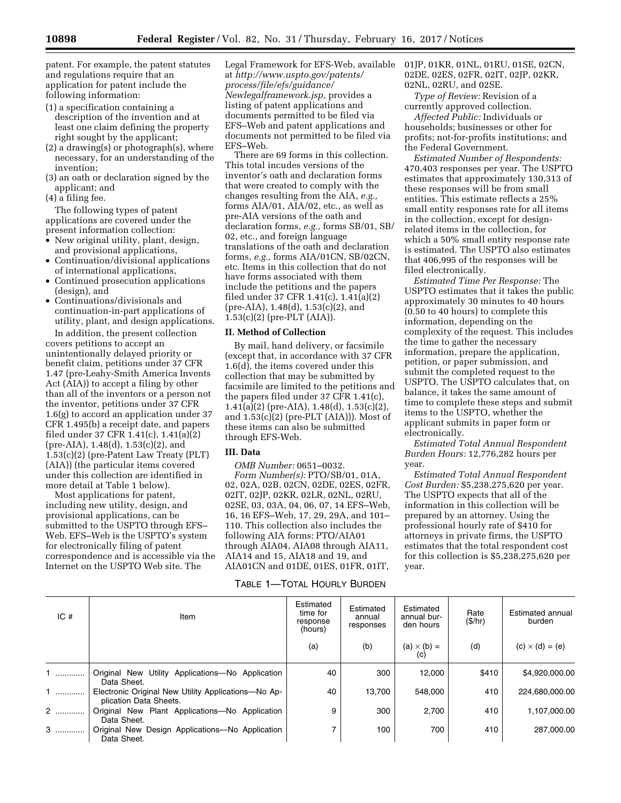patent. For example, the patent statutes and regulations require that an application for patent include the following information:

- (1) a specification containing a description of the invention and at least one claim defining the property right sought by the applicant;
- (2) a drawing(s) or photograph(s), where necessary, for an understanding of the invention;
- (3) an oath or declaration signed by the applicant; and
- (4) a filing fee.

The following types of patent applications are covered under the present information collection:

- New original utility, plant, design, and provisional applications,
- Continuation/divisional applications of international applications,
- Continued prosecution applications (design), and
- Continuations/divisionals and continuation-in-part applications of utility, plant, and design applications. In addition, the present collection

covers petitions to accept an unintentionally delayed priority or benefit claim, petitions under 37 CFR 1.47 (pre-Leahy-Smith America Invents Act (AIA)) to accept a filing by other than all of the inventors or a person not the inventor, petitions under 37 CFR 1.6(g) to accord an application under 37 CFR 1.495(b) a receipt date, and papers filed under 37 CFR 1.41(c), 1.41(a)(2) (pre-AIA), 1.48(d), 1.53(c)(2), and 1.53(c)(2) (pre-Patent Law Treaty (PLT) (AIA)) (the particular items covered under this collection are identified in more detail at Table 1 below).

Most applications for patent, including new utility, design, and provisional applications, can be submitted to the USPTO through EFS– Web. EFS–Web is the USPTO's system for electronically filing of patent correspondence and is accessible via the Internet on the USPTO Web site. The

Legal Framework for EFS-Web, available at *[http://www.uspto.gov/patents/](http://www.uspto.gov/patents/process/file/efs/guidance/Newlegalframework.jsp)  [process/file/efs/guidance/](http://www.uspto.gov/patents/process/file/efs/guidance/Newlegalframework.jsp) [Newlegalframework.jsp,](http://www.uspto.gov/patents/process/file/efs/guidance/Newlegalframework.jsp)* provides a listing of patent applications and documents permitted to be filed via EFS–Web and patent applications and documents not permitted to be filed via EFS–Web.

There are 69 forms in this collection. This total incudes versions of the inventor's oath and declaration forms that were created to comply with the changes resulting from the AIA, *e.g.,*  forms AIA/01, AIA/02, etc., as well as pre-AIA versions of the oath and declaration forms, *e.g.,* forms SB/01, SB/ 02, etc., and foreign language translations of the oath and declaration forms, *e.g.,* forms AIA/01CN, SB/02CN, etc. Items in this collection that do not have forms associated with them include the petitions and the papers filed under 37 CFR 1.41(c), 1.41(a)(2) (pre-AIA), 1.48(d), 1.53(c)(2), and 1.53(c)(2) (pre-PLT (AIA)).

#### **II. Method of Collection**

By mail, hand delivery, or facsimile (except that, in accordance with 37 CFR  $1.6(d)$ , the items covered under this collection that may be submitted by facsimile are limited to the petitions and the papers filed under 37 CFR 1.41(c),  $1.41(a)(2)$  (pre-AIA),  $1.48(d)$ ,  $1.53(c)(2)$ , and 1.53(c)(2) (pre-PLT (AIA))). Most of these items can also be submitted through EFS-Web.

## **III. Data**

*OMB Number:* 0651–0032.

*Form Number(s):* PTO/SB/01, 01A, 02, 02A, 02B, 02CN, 02DE, 02ES, 02FR, 02IT, 02JP, 02KR, 02LR, 02NL, 02RU, 02SE, 03, 03A, 04, 06, 07, 14 EFS–Web, 16, 16 EFS–Web, 17, 29, 29A, and 101– 110. This collection also includes the following AIA forms: PTO/AIA01 through AIA04, AIA08 through AIA11, AIA14 and 15, AIA18 and 19, and AIA01CN and 01DE, 01ES, 01FR, 01IT,

## TABLE 1—TOTAL HOURLY BURDEN

01JP, 01KR, 01NL, 01RU, 01SE, 02CN, 02DE, 02ES, 02FR, 02IT, 02JP, 02KR, 02NL, 02RU, and 02SE.

*Type of Review:* Revision of a currently approved collection.

*Affected Public:* Individuals or households; businesses or other for profits; not-for-profits institutions; and the Federal Government.

*Estimated Number of Respondents:*  470,403 responses per year. The USPTO estimates that approximately 130,313 of these responses will be from small entities. This estimate reflects a 25% small entity responses rate for all items in the collection, except for designrelated items in the collection, for which a 50% small entity response rate is estimated. The USPTO also estimates that 406,995 of the responses will be filed electronically.

*Estimated Time Per Response:* The USPTO estimates that it takes the public approximately 30 minutes to 40 hours (0.50 to 40 hours) to complete this information, depending on the complexity of the request. This includes the time to gather the necessary information, prepare the application, petition, or paper submission, and submit the completed request to the USPTO. The USPTO calculates that, on balance, it takes the same amount of time to complete these steps and submit items to the USPTO, whether the applicant submits in paper form or electronically.

*Estimated Total Annual Respondent Burden Hours:* 12,776,282 hours per year.

*Estimated Total Annual Respondent Cost Burden:* \$5,238,275,620 per year. The USPTO expects that all of the information in this collection will be prepared by an attorney. Using the professional hourly rate of \$410 for attorneys in private firms, the USPTO estimates that the total respondent cost for this collection is \$5,238,275,620 per year.

| IC# | Item                                                                          | Estimated<br>time for<br>response<br>(hours) | Estimated<br>annual<br>responses | Estimated<br>annual bur-<br>den hours | Rate<br>(S/hr) | Estimated annual<br>burden |
|-----|-------------------------------------------------------------------------------|----------------------------------------------|----------------------------------|---------------------------------------|----------------|----------------------------|
|     |                                                                               | (a)                                          | (b)                              | $(a) \times (b) =$                    | (d)            | $(c) \times (d) = (e)$     |
| .   | Original New Utility Applications-No Application<br>Data Sheet.               | 40                                           | 300                              | 12.000                                | \$410          | \$4.920,000.00             |
| .   | Electronic Original New Utility Applications-No Ap-<br>plication Data Sheets. | 40                                           | 13.700                           | 548.000                               | 410            | 224,680,000.00             |
| 2   | Original New Plant Applications-No Application<br>Data Sheet.                 | 9                                            | 300                              | 2.700                                 | 410            | 1.107.000.00               |
| 3   | Original New Design Applications-No Application<br>Data Sheet.                | 7                                            | 100                              | 700                                   | 410            | 287.000.00                 |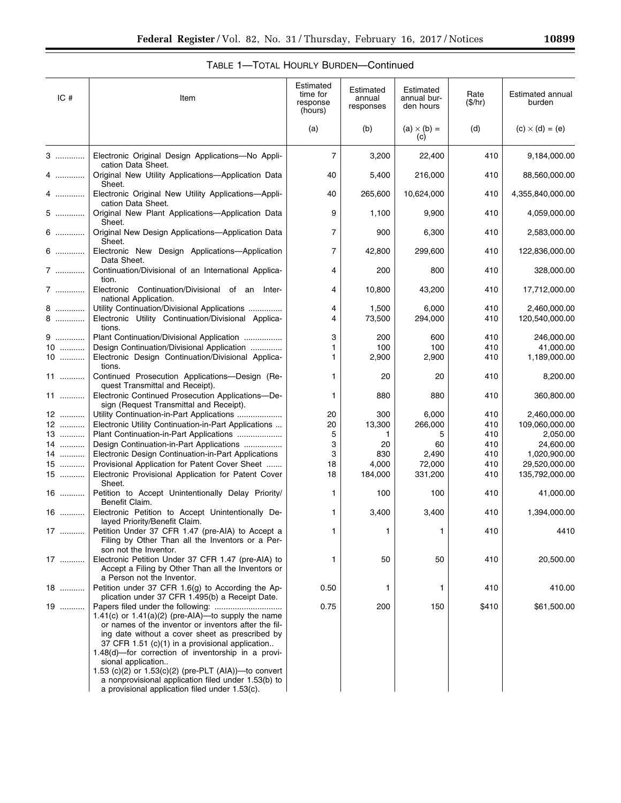# TABLE 1—TOTAL HOURLY BURDEN—Continued

| IC#  | Item                                                                                                                                                                                                                                                                                                                                                                                                                                                                 | Estimated<br>time for<br>response<br>(hours) | Estimated<br>annual<br>responses | Estimated<br>annual bur-<br>den hours | Rate<br>(\$/hr) | Estimated annual<br>burden |
|------|----------------------------------------------------------------------------------------------------------------------------------------------------------------------------------------------------------------------------------------------------------------------------------------------------------------------------------------------------------------------------------------------------------------------------------------------------------------------|----------------------------------------------|----------------------------------|---------------------------------------|-----------------|----------------------------|
|      |                                                                                                                                                                                                                                                                                                                                                                                                                                                                      | (a)                                          | (b)                              | $(a) \times (b) =$<br>(c)             | (d)             | $(c) \times (d) = (e)$     |
| 3    | Electronic Original Design Applications-No Appli-<br>cation Data Sheet.                                                                                                                                                                                                                                                                                                                                                                                              | $\overline{7}$                               | 3,200                            | 22,400                                | 410             | 9,184,000.00               |
| 4    | Original New Utility Applications-Application Data<br>Sheet.                                                                                                                                                                                                                                                                                                                                                                                                         | 40                                           | 5,400                            | 216,000                               | 410             | 88,560,000.00              |
| 4    | Electronic Original New Utility Applications-Appli-<br>cation Data Sheet.                                                                                                                                                                                                                                                                                                                                                                                            | 40                                           | 265,600                          | 10,624,000                            | 410             | 4,355,840,000.00           |
| 5    | Original New Plant Applications-Application Data<br>Sheet.                                                                                                                                                                                                                                                                                                                                                                                                           | 9                                            | 1,100                            | 9,900                                 | 410             | 4,059,000.00               |
| 6    | Original New Design Applications-Application Data<br>Sheet.                                                                                                                                                                                                                                                                                                                                                                                                          | 7                                            | 900                              | 6,300                                 | 410             | 2,583,000.00               |
| 6    | Electronic New Design Applications-Application<br>Data Sheet.                                                                                                                                                                                                                                                                                                                                                                                                        | $\overline{7}$                               | 42,800                           | 299,600                               | 410             | 122,836,000.00             |
| 7    | Continuation/Divisional of an International Applica-<br>tion.                                                                                                                                                                                                                                                                                                                                                                                                        | 4                                            | 200                              | 800                                   | 410             | 328,000.00                 |
| 7    | Electronic Continuation/Divisional of an Inter-<br>national Application.                                                                                                                                                                                                                                                                                                                                                                                             | 4                                            | 10,800                           | 43,200                                | 410             | 17,712,000.00              |
| 8    | Utility Continuation/Divisional Applications                                                                                                                                                                                                                                                                                                                                                                                                                         | 4                                            | 1,500                            | 6,000                                 | 410             | 2,460,000.00               |
| $8$  | Electronic Utility Continuation/Divisional Applica-<br>tions.                                                                                                                                                                                                                                                                                                                                                                                                        | 4                                            | 73,500                           | 294,000                               | 410             | 120,540,000.00             |
| 9    | Plant Continuation/Divisional Application                                                                                                                                                                                                                                                                                                                                                                                                                            | 3                                            | 200                              | 600                                   | 410             | 246,000.00                 |
| $10$ | Design Continuation/Divisional Application                                                                                                                                                                                                                                                                                                                                                                                                                           | 1                                            | 100                              | 100                                   | 410             | 41,000.00                  |
| $10$ | Electronic Design Continuation/Divisional Applica-<br>tions.                                                                                                                                                                                                                                                                                                                                                                                                         | 1.                                           | 2,900                            | 2,900                                 | 410             | 1,189,000.00               |
| 11   | Continued Prosecution Applications-Design (Re-<br>quest Transmittal and Receipt).                                                                                                                                                                                                                                                                                                                                                                                    | 1.                                           | 20                               | 20                                    | 410             | 8,200.00                   |
| 11   | Electronic Continued Prosecution Applications-De-<br>sign (Request Transmittal and Receipt).                                                                                                                                                                                                                                                                                                                                                                         | 1                                            | 880                              | 880                                   | 410             | 360,800.00                 |
| 12   | Utility Continuation-in-Part Applications                                                                                                                                                                                                                                                                                                                                                                                                                            | 20                                           | 300                              | 6,000                                 | 410             | 2,460,000.00               |
| 12   | Electronic Utility Continuation-in-Part Applications                                                                                                                                                                                                                                                                                                                                                                                                                 | 20                                           | 13,300                           | 266,000                               | 410             | 109,060,000.00             |
| 13   | Plant Continuation-in-Part Applications                                                                                                                                                                                                                                                                                                                                                                                                                              | 5                                            | 1                                | 5                                     | 410             | 2,050.00                   |
| 14   | Design Continuation-in-Part Applications                                                                                                                                                                                                                                                                                                                                                                                                                             | 3                                            | 20                               | 60                                    | 410             | 24,600.00                  |
| 14   | Electronic Design Continuation-in-Part Applications                                                                                                                                                                                                                                                                                                                                                                                                                  | 3                                            | 830                              | 2,490                                 | 410             | 1,020,900.00               |
| $15$ | Provisional Application for Patent Cover Sheet                                                                                                                                                                                                                                                                                                                                                                                                                       | 18                                           | 4,000                            | 72,000                                | 410             | 29,520,000.00              |
| $15$ | Electronic Provisional Application for Patent Cover<br>Sheet.                                                                                                                                                                                                                                                                                                                                                                                                        | 18                                           | 184,000                          | 331,200                               | 410             | 135,792,000.00             |
| 16   | Petition to Accept Unintentionally Delay Priority/<br>Benefit Claim.                                                                                                                                                                                                                                                                                                                                                                                                 | 1                                            | 100                              | 100                                   | 410             | 41,000.00                  |
| $16$ | Electronic Petition to Accept Unintentionally De-<br>layed Priority/Benefit Claim.                                                                                                                                                                                                                                                                                                                                                                                   | 1.                                           | 3,400                            | 3,400                                 | 410             | 1,394,000.00               |
|      | 17  Petition Under 37 CFR 1.47 (pre-AIA) to Accept a<br>Filing by Other Than all the Inventors or a Per-<br>son not the Inventor.                                                                                                                                                                                                                                                                                                                                    |                                              |                                  | 1                                     | 410             | 4410                       |
| 17   | Electronic Petition Under 37 CFR 1.47 (pre-AIA) to<br>Accept a Filing by Other Than all the Inventors or<br>a Person not the Inventor.                                                                                                                                                                                                                                                                                                                               | 1                                            | 50                               | 50                                    | 410             | 20,500.00                  |
| 18   | Petition under 37 CFR 1.6(g) to According the Ap-<br>plication under 37 CFR 1.495(b) a Receipt Date.                                                                                                                                                                                                                                                                                                                                                                 | 0.50                                         | 1                                | 1                                     | 410             | 410.00                     |
| 19   | 1.41(c) or $1.41(a)(2)$ (pre-AIA)-to supply the name<br>or names of the inventor or inventors after the fil-<br>ing date without a cover sheet as prescribed by<br>37 CFR 1.51 (c)(1) in a provisional application<br>$1.48(d)$ —for correction of inventorship in a provi-<br>sional application<br>1.53 (c)(2) or $1.53(c)(2)$ (pre-PLT (AIA))—to convert<br>a nonprovisional application filed under 1.53(b) to<br>a provisional application filed under 1.53(c). | 0.75                                         | 200                              | 150                                   | \$410           | \$61,500.00                |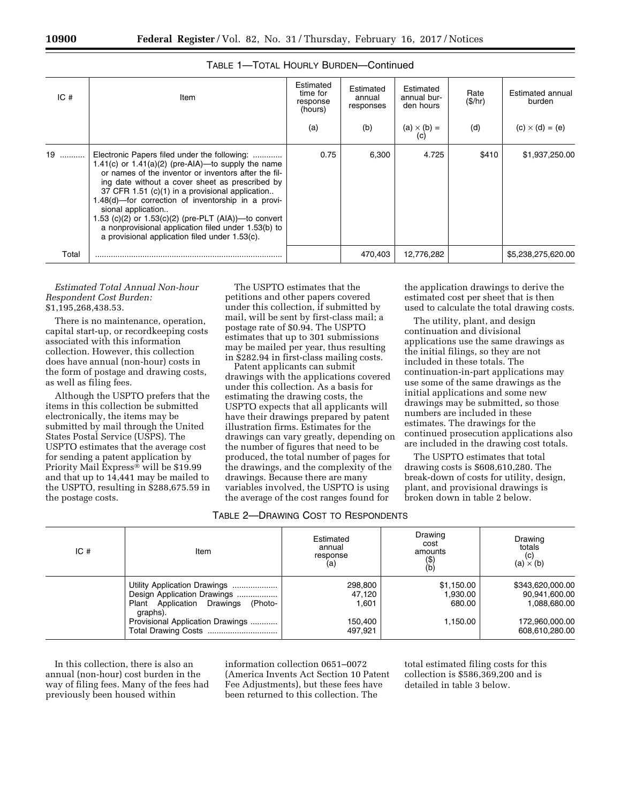| IC <sub>#</sub> | Item                                                                                                                                                                                                                                                                                                                                                                                                                                                                                                              | Estimated<br>time for<br>response<br>(hours) | Estimated<br>annual<br>responses | Estimated<br>annual bur-<br>den hours | Rate<br>(\$/hr) | Estimated annual<br>burden |
|-----------------|-------------------------------------------------------------------------------------------------------------------------------------------------------------------------------------------------------------------------------------------------------------------------------------------------------------------------------------------------------------------------------------------------------------------------------------------------------------------------------------------------------------------|----------------------------------------------|----------------------------------|---------------------------------------|-----------------|----------------------------|
|                 |                                                                                                                                                                                                                                                                                                                                                                                                                                                                                                                   | (a)                                          | (b)                              | $(a) \times (b) =$                    | (d)             | $(c) \times (d) = (e)$     |
| 19              | Electronic Papers filed under the following:<br>1.41(c) or $1.41(a)(2)$ (pre-AIA)—to supply the name<br>or names of the inventor or inventors after the fil-<br>ing date without a cover sheet as prescribed by<br>37 CFR 1.51 (c)(1) in a provisional application<br>1.48(d)-for correction of inventorship in a provi-<br>sional application<br>1.53 (c)(2) or $1.53(c)(2)$ (pre-PLT (AIA))—to convert<br>a nonprovisional application filed under 1.53(b) to<br>a provisional application filed under 1.53(c). | 0.75                                         | 6.300                            | 4.725                                 | \$410           | \$1,937,250.00             |
| Total           |                                                                                                                                                                                                                                                                                                                                                                                                                                                                                                                   |                                              | 470.403                          | 12.776.282                            |                 | \$5,238,275,620.00         |

## TABLE 1—TOTAL HOURLY BURDEN—Continued

*Estimated Total Annual Non-hour Respondent Cost Burden:*  \$1,195,268,438.53.

There is no maintenance, operation, capital start-up, or recordkeeping costs associated with this information collection. However, this collection does have annual (non-hour) costs in the form of postage and drawing costs, as well as filing fees.

Although the USPTO prefers that the items in this collection be submitted electronically, the items may be submitted by mail through the United States Postal Service (USPS). The USPTO estimates that the average cost for sending a patent application by Priority Mail Express® will be \$19.99 and that up to 14,441 may be mailed to the USPTO, resulting in \$288,675.59 in the postage costs.

The USPTO estimates that the petitions and other papers covered under this collection, if submitted by mail, will be sent by first-class mail; a postage rate of \$0.94. The USPTO estimates that up to 301 submissions may be mailed per year, thus resulting in \$282.94 in first-class mailing costs.

Patent applicants can submit drawings with the applications covered under this collection. As a basis for estimating the drawing costs, the USPTO expects that all applicants will have their drawings prepared by patent illustration firms. Estimates for the drawings can vary greatly, depending on the number of figures that need to be produced, the total number of pages for the drawings, and the complexity of the drawings. Because there are many variables involved, the USPTO is using the average of the cost ranges found for

the application drawings to derive the estimated cost per sheet that is then used to calculate the total drawing costs.

The utility, plant, and design continuation and divisional applications use the same drawings as the initial filings, so they are not included in these totals. The continuation-in-part applications may use some of the same drawings as the initial applications and some new drawings may be submitted, so those numbers are included in these estimates. The drawings for the continued prosecution applications also are included in the drawing cost totals.

The USPTO estimates that total drawing costs is \$608,610,280. The break-down of costs for utility, design, plant, and provisional drawings is broken down in table 2 below.

## TABLE 2—DRAWING COST TO RESPONDENTS

| IC# | Item                                                                                                                                                 |                                                  | Estimated<br>annual<br>response<br>(a)       |                                                                                       | Drawing<br>cost<br>amounts<br>(\$)<br>(b) | Drawing<br>totals<br>(c)<br>$(a) \times (b)$ |
|-----|------------------------------------------------------------------------------------------------------------------------------------------------------|--------------------------------------------------|----------------------------------------------|---------------------------------------------------------------------------------------|-------------------------------------------|----------------------------------------------|
|     | Utility Application Drawings<br>Design Application Drawings<br>Plant Application Drawings<br>(Photo-<br>graphs).<br>Provisional Application Drawings | 298,800<br>47,120<br>1.601<br>150.400<br>497,921 | \$1,150.00<br>1,930.00<br>680.00<br>1,150.00 | \$343,620,000.00<br>90,941,600.00<br>1.088.680.00<br>172,960,000.00<br>608,610,280.00 |                                           |                                              |

In this collection, there is also an annual (non-hour) cost burden in the way of filing fees. Many of the fees had previously been housed within

information collection 0651–0072 (America Invents Act Section 10 Patent Fee Adjustments), but these fees have been returned to this collection. The

total estimated filing costs for this collection is \$586,369,200 and is detailed in table 3 below.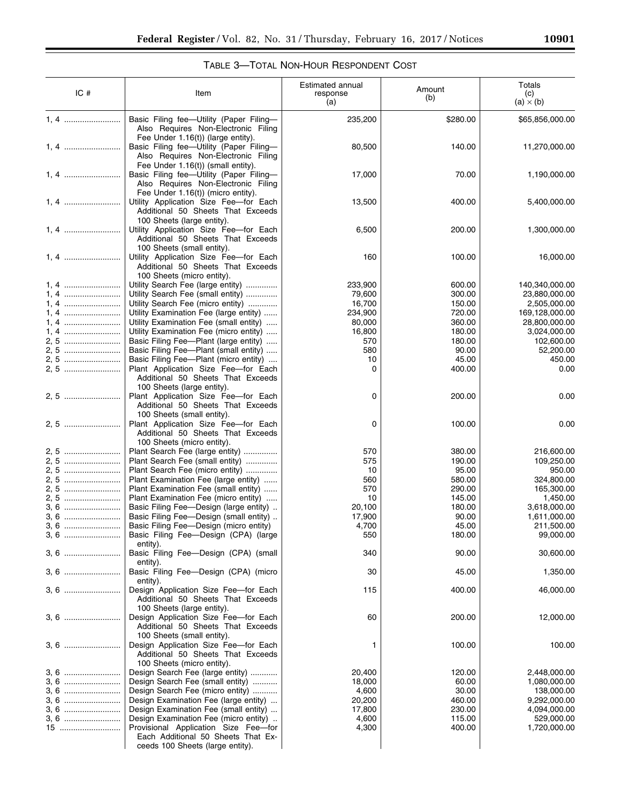$\equiv$ 

# TABLE 3—TOTAL NON-HOUR RESPONDENT COST

| IC#  | Item                                                                                                                                                       | Estimated annual<br>response<br>(a) | Amount<br>(b) | Totals<br>(c)<br>$(a) \times (b)$ |
|------|------------------------------------------------------------------------------------------------------------------------------------------------------------|-------------------------------------|---------------|-----------------------------------|
| 1, 4 | Basic Filing fee-Utility (Paper Filing-<br>Also Requires Non-Electronic Filing                                                                             | 235,200                             | \$280.00      | \$65,856,000.00                   |
| 1, 4 | Fee Under 1.16(t)) (large entity).<br>Basic Filing fee-Utility (Paper Filing-<br>Also Requires Non-Electronic Filing                                       | 80,500                              | 140.00        | 11,270,000.00                     |
| 1, 4 | Fee Under 1.16(t)) (small entity).<br>Basic Filing fee-Utility (Paper Filing-<br>Also Requires Non-Electronic Filing<br>Fee Under 1.16(t)) (micro entity). | 17,000                              | 70.00         | 1,190,000.00                      |
| 1, 4 | Utility Application Size Fee-for Each<br>Additional 50 Sheets That Exceeds<br>100 Sheets (large entity).                                                   | 13,500                              | 400.00        | 5,400,000.00                      |
| 1, 4 | Utility Application Size Fee-for Each<br>Additional 50 Sheets That Exceeds<br>100 Sheets (small entity).                                                   | 6,500                               | 200.00        | 1,300,000.00                      |
| 1.4  | Utility Application Size Fee-for Each<br>Additional 50 Sheets That Exceeds<br>100 Sheets (micro entity).                                                   | 160                                 | 100.00        | 16,000.00                         |
|      | Utility Search Fee (large entity)                                                                                                                          |                                     | 600.00        |                                   |
| 1, 4 |                                                                                                                                                            | 233,900                             |               | 140,340,000.00                    |
| 1, 4 | Utility Search Fee (small entity)                                                                                                                          | 79,600                              | 300.00        | 23,880,000.00                     |
| 1, 4 | Utility Search Fee (micro entity)                                                                                                                          | 16,700                              | 150.00        | 2,505,000.00                      |
| 1.4  | Utility Examination Fee (large entity)                                                                                                                     | 234,900                             | 720.00        | 169,128,000.00                    |
| 1, 4 | Utility Examination Fee (small entity)                                                                                                                     | 80,000                              | 360.00        | 28,800,000.00                     |
| 1, 4 | Utility Examination Fee (micro entity)                                                                                                                     | 16,800                              | 180.00        | 3,024,000.00                      |
|      |                                                                                                                                                            |                                     |               |                                   |
| 2, 5 | Basic Filing Fee-Plant (large entity)                                                                                                                      | 570                                 | 180.00        | 102,600.00                        |
| 2.5  | Basic Filing Fee-Plant (small entity)                                                                                                                      | 580                                 | 90.00         | 52,200.00                         |
| 2, 5 | Basic Filing Fee-Plant (micro entity)                                                                                                                      | 10                                  | 45.00         | 450.00                            |
| 2.5  | Plant Application Size Fee-for Each<br>Additional 50 Sheets That Exceeds<br>100 Sheets (large entity).                                                     | 0                                   | 400.00        | 0.00                              |
| 2, 5 | Plant Application Size Fee-for Each<br>Additional 50 Sheets That Exceeds<br>100 Sheets (small entity).                                                     | 0                                   | 200.00        | 0.00                              |
| 2, 5 | Plant Application Size Fee-for Each<br>Additional 50 Sheets That Exceeds<br>100 Sheets (micro entity).                                                     | 0                                   | 100.00        | 0.00                              |
|      | Plant Search Fee (large entity)                                                                                                                            | 570                                 | 380.00        | 216,600.00                        |
| 2, 5 | Plant Search Fee (small entity)                                                                                                                            | 575                                 | 190.00        | 109,250.00                        |
|      |                                                                                                                                                            |                                     |               |                                   |
|      | Plant Search Fee (micro entity)                                                                                                                            | 10                                  | 95.00         | 950.00                            |
| 2, 5 | Plant Examination Fee (large entity)                                                                                                                       | 560                                 | 580.00        | 324,800.00                        |
| 2, 5 | Plant Examination Fee (small entity)                                                                                                                       | 570                                 | 290.00        | 165,300.00                        |
| 2, 5 | Plant Examination Fee (micro entity)                                                                                                                       | 10                                  | 145.00        | 1,450.00                          |
| 3. 6 | Basic Filing Fee-Design (large entity)                                                                                                                     | 20,100                              | 180.00        | 3,618,000.00                      |
| 3, 6 | Basic Filing Fee-Design (small entity)                                                                                                                     | 17,900                              | 90.00         | 1,611,000.00                      |
| 3, 6 | Basic Filing Fee-Design (micro entity)                                                                                                                     | 4,700                               | 45.00         | 211,500.00                        |
| 3, 6 | Basic Filing Fee-Design (CPA) (large<br>entity).                                                                                                           | 550                                 | 180.00        | 99,000.00                         |
|      | Basic Filing Fee-Design (CPA) (small<br>entity).                                                                                                           | 340                                 | 90.00         | 30,600.00                         |
| 3, 6 | Basic Filing Fee-Design (CPA) (micro<br>entity).                                                                                                           | 30                                  | 45.00         | 1,350.00                          |
| 3, 6 | Design Application Size Fee-for Each<br>Additional 50 Sheets That Exceeds<br>100 Sheets (large entity).                                                    | 115                                 | 400.00        | 46,000.00                         |
| 3, 6 | Design Application Size Fee-for Each<br>Additional 50 Sheets That Exceeds<br>100 Sheets (small entity).                                                    | 60                                  | 200.00        | 12,000.00                         |
| 3, 6 | Design Application Size Fee-for Each<br>Additional 50 Sheets That Exceeds<br>100 Sheets (micro entity).                                                    | 1                                   | 100.00        | 100.00                            |
| 3, 6 | Design Search Fee (large entity)                                                                                                                           | 20,400                              | 120.00        | 2,448,000.00                      |
|      |                                                                                                                                                            |                                     |               |                                   |
| 3, 6 | Design Search Fee (small entity)                                                                                                                           | 18,000                              | 60.00         | 1,080,000.00                      |
| 3, 6 | Design Search Fee (micro entity)                                                                                                                           | 4,600                               | 30.00         | 138,000.00                        |
| 3, 6 | Design Examination Fee (large entity)                                                                                                                      | 20,200                              | 460.00        | 9,292,000.00                      |
| 3, 6 | Design Examination Fee (small entity)                                                                                                                      | 17,800                              | 230.00        | 4,094,000.00                      |
| 3, 6 | Design Examination Fee (micro entity)                                                                                                                      | 4,600                               | 115.00        | 529,000.00                        |
| $15$ | Provisional Application Size Fee-for                                                                                                                       | 4,300                               | 400.00        | 1,720,000.00                      |
|      | Each Additional 50 Sheets That Ex-<br>ceeds 100 Sheets (large entity).                                                                                     |                                     |               |                                   |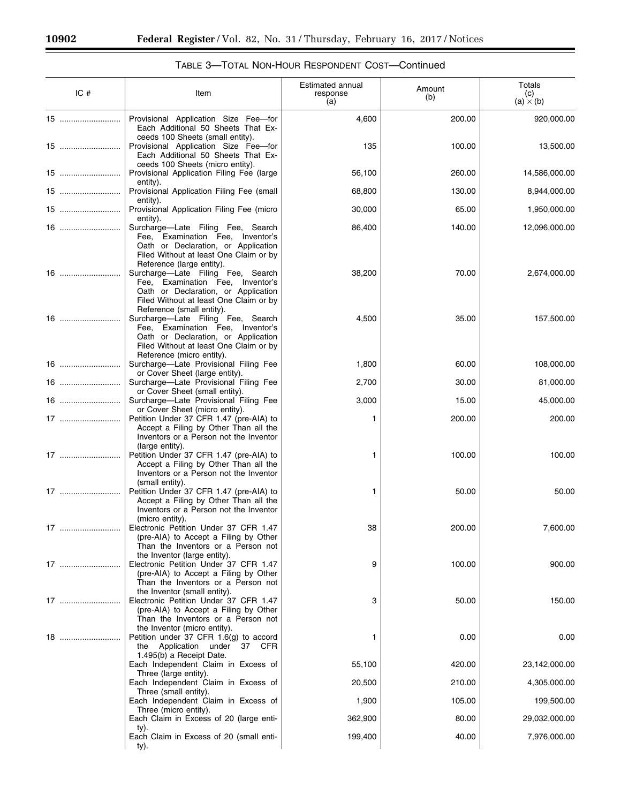-

e.

|    | IC# | Item                                                                                                                                                                                                             | Estimated annual<br>response<br>(a) | Amount<br>(b) | Totals<br>(c)<br>(a) $\times$ (b) |
|----|-----|------------------------------------------------------------------------------------------------------------------------------------------------------------------------------------------------------------------|-------------------------------------|---------------|-----------------------------------|
|    | 15  | Provisional Application Size Fee-for<br>Each Additional 50 Sheets That Ex-                                                                                                                                       | 4,600                               | 200.00        | 920,000.00                        |
|    | 15  | ceeds 100 Sheets (small entity).<br>Provisional Application Size Fee-for<br>Each Additional 50 Sheets That Ex-                                                                                                   | 135                                 | 100.00        | 13,500.00                         |
|    | 15  | ceeds 100 Sheets (micro entity).<br>Provisional Application Filing Fee (large<br>entity).                                                                                                                        | 56,100                              | 260.00        | 14,586,000.00                     |
|    | 15  | Provisional Application Filing Fee (small                                                                                                                                                                        | 68,800                              | 130.00        | 8,944,000.00                      |
|    |     | entity).<br>Provisional Application Filing Fee (micro                                                                                                                                                            | 30,000                              | 65.00         | 1,950,000.00                      |
|    |     | entity).<br>Surcharge-Late Filing Fee, Search<br>Fee, Examination Fee, Inventor's<br>Oath or Declaration, or Application<br>Filed Without at least One Claim or by                                               | 86,400                              | 140.00        | 12,096,000.00                     |
|    | 16  | Reference (large entity).<br>Surcharge-Late Filing Fee, Search<br>Fee, Examination Fee, Inventor's<br>Oath or Declaration, or Application<br>Filed Without at least One Claim or by<br>Reference (small entity). | 38,200                              | 70.00         | 2,674,000.00                      |
|    |     | Surcharge-Late Filing Fee, Search<br>Fee, Examination Fee, Inventor's<br>Oath or Declaration, or Application<br>Filed Without at least One Claim or by<br>Reference (micro entity).                              | 4,500                               | 35.00         | 157,500.00                        |
|    | 16  | Surcharge-Late Provisional Filing Fee<br>or Cover Sheet (large entity).                                                                                                                                          | 1,800                               | 60.00         | 108,000.00                        |
|    | 16  | Surcharge-Late Provisional Filing Fee                                                                                                                                                                            | 2,700                               | 30.00         | 81,000.00                         |
|    | 16  | or Cover Sheet (small entity).<br>Surcharge-Late Provisional Filing Fee                                                                                                                                          | 3,000                               | 15.00         | 45,000.00                         |
|    | 17  | or Cover Sheet (micro entity).<br>Petition Under 37 CFR 1.47 (pre-AIA) to<br>Accept a Filing by Other Than all the<br>Inventors or a Person not the Inventor                                                     | 1                                   | 200.00        | 200.00                            |
|    | 17  | (large entity).<br>Petition Under 37 CFR 1.47 (pre-AIA) to<br>Accept a Filing by Other Than all the<br>Inventors or a Person not the Inventor<br>(small entity).                                                 | 1                                   | 100.00        | 100.00                            |
|    |     | Petition Under 37 CFR 1.47 (pre-AIA) to<br>Accept a Filing by Other Than all the<br>Inventors or a Person not the Inventor<br>(micro entity).                                                                    | 1                                   | 50.00         | 50.00                             |
| 17 |     | Electronic Petition Under 37 CFR 1.47<br>(pre-AIA) to Accept a Filing by Other<br>Than the Inventors or a Person not<br>the Inventor (large entity).                                                             | 38                                  | 200.00        | 7,600.00                          |
|    | 17  | Electronic Petition Under 37 CFR 1.47<br>(pre-AIA) to Accept a Filing by Other<br>Than the Inventors or a Person not<br>the Inventor (small entity).                                                             | 9                                   | 100.00        | 900.00                            |
|    | 17  | Electronic Petition Under 37 CFR 1.47<br>(pre-AIA) to Accept a Filing by Other<br>Than the Inventors or a Person not                                                                                             | 3                                   | 50.00         | 150.00                            |
|    | 18  | the Inventor (micro entity).<br>Petition under 37 CFR 1.6(g) to accord<br>the Application under 37 CFR<br>1.495(b) a Receipt Date.                                                                               | 1                                   | 0.00          | 0.00                              |
|    |     | Each Independent Claim in Excess of                                                                                                                                                                              | 55,100                              | 420.00        | 23,142,000.00                     |
|    |     | Three (large entity).<br>Each Independent Claim in Excess of                                                                                                                                                     | 20,500                              | 210.00        | 4,305,000.00                      |
|    |     | Three (small entity).<br>Each Independent Claim in Excess of                                                                                                                                                     | 1,900                               | 105.00        | 199,500.00                        |
|    |     | Three (micro entity).<br>Each Claim in Excess of 20 (large enti-                                                                                                                                                 | 362,900                             | 80.00         | 29,032,000.00                     |
|    |     | ty).<br>Each Claim in Excess of 20 (small enti-<br>ty).                                                                                                                                                          | 199,400                             | 40.00         | 7,976,000.00                      |

# TABLE 3—TOTAL NON-HOUR RESPONDENT COST—Continued